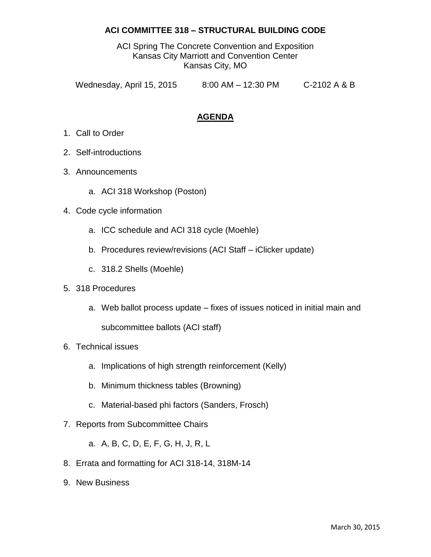#### **ACI COMMITTEE 318 – STRUCTURAL BUILDING CODE**

ACI Spring The Concrete Convention and Exposition Kansas City Marriott and Convention Center Kansas City, MO

Wednesday, April 15, 2015 8:00 AM - 12:30 PM C-2102 A & B

## **AGENDA**

- 1. Call to Order
- 2. Self-introductions
- 3. Announcements
	- a. ACI 318 Workshop (Poston)
- 4. Code cycle information
	- a. ICC schedule and ACI 318 cycle (Moehle)
	- b. Procedures review/revisions (ACI Staff iClicker update)
	- c. 318.2 Shells (Moehle)
- 5. 318 Procedures
	- a. Web ballot process update fixes of issues noticed in initial main and

subcommittee ballots (ACI staff)

- 6. Technical issues
	- a. Implications of high strength reinforcement (Kelly)
	- b. Minimum thickness tables (Browning)
	- c. Material-based phi factors (Sanders, Frosch)
- 7. Reports from Subcommittee Chairs
	- a. A, B, C, D, E, F, G, H, J, R, L
- 8. Errata and formatting for ACI 318-14, 318M-14
- 9. New Business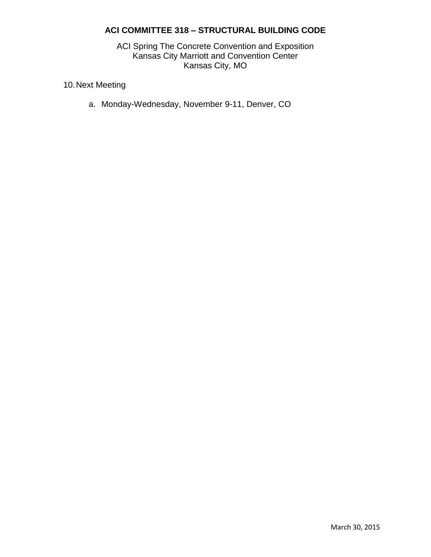## **ACI COMMITTEE 318 – STRUCTURAL BUILDING CODE**

ACI Spring The Concrete Convention and Exposition Kansas City Marriott and Convention Center Kansas City, MO

10.Next Meeting

a. Monday-Wednesday, November 9-11, Denver, CO